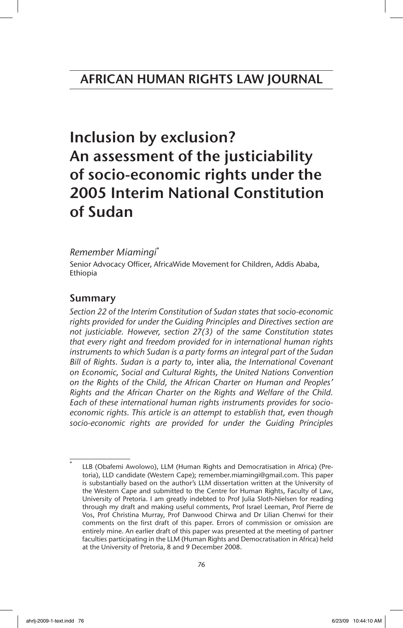# Inclusion by exclusion? An assessment of the justiciability of socio-economic rights under the 2005 Interim National Constitution of Sudan

### *Remember Miamingi*\*

Senior Advocacy Officer, AfricaWide Movement for Children, Addis Ababa, Ethiopia

### Summary

*Section 22 of the Interim Constitution of Sudan states that socio-economic rights provided for under the Guiding Principles and Directives section are not justiciable. However, section 27(3) of the same Constitution states that every right and freedom provided for in international human rights instruments to which Sudan is a party forms an integral part of the Sudan Bill of Rights. Sudan is a party to,* inter alia*, the International Covenant on Economic, Social and Cultural Rights, the United Nations Convention on the Rights of the Child, the African Charter on Human and Peoples' Rights and the African Charter on the Rights and Welfare of the Child. Each of these international human rights instruments provides for socioeconomic rights. This article is an attempt to establish that, even though socio-economic rights are provided for under the Guiding Principles*

LLB (Obafemi Awolowo), LLM (Human Rights and Democratisation in Africa) (Pretoria), LLD candidate (Western Cape); remember.miamingi@gmail.com. This paper is substantially based on the author's LLM dissertation written at the University of the Western Cape and submitted to the Centre for Human Rights, Faculty of Law, University of Pretoria. I am greatly indebted to Prof Julia Sloth-Nielsen for reading through my draft and making useful comments, Prof Israel Leeman, Prof Pierre de Vos, Prof Christina Murray, Prof Danwood Chirwa and Dr Lilian Chenwi for their comments on the first draft of this paper. Errors of commission or omission are entirely mine. An earlier draft of this paper was presented at the meeting of partner faculties participating in the LLM (Human Rights and Democratisation in Africa) held at the University of Pretoria, 8 and 9 December 2008.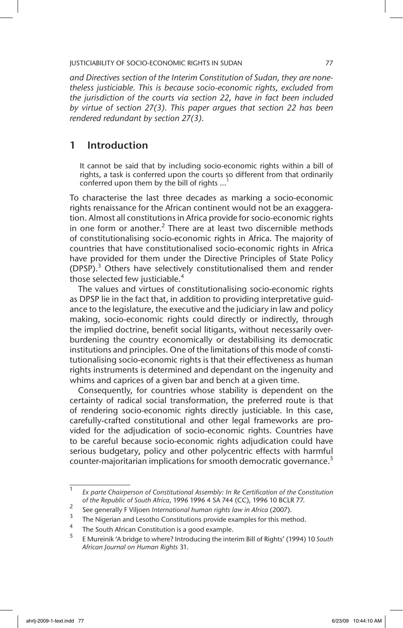*and Directives section of the Interim Constitution of Sudan, they are nonetheless justiciable. This is because socio-economic rights, excluded from the jurisdiction of the courts via section 22, have in fact been included by virtue of section 27(3). This paper argues that section 22 has been rendered redundant by section 27(3).*

### 1 Introduction

It cannot be said that by including socio-economic rights within a bill of rights, a task is conferred upon the courts so different from that ordinarily conferred upon them by the bill of rights ...

To characterise the last three decades as marking a socio-economic rights renaissance for the African continent would not be an exaggeration. Almost all constitutions in Africa provide for socio-economic rights in one form or another.<sup>2</sup> There are at least two discernible methods of constitutionalising socio-economic rights in Africa. The majority of countries that have constitutionalised socio-economic rights in Africa have provided for them under the Directive Principles of State Policy (DPSP).<sup>3</sup> Others have selectively constitutionalised them and render those selected few justiciable. $4$ 

The values and virtues of constitutionalising socio-economic rights as DPSP lie in the fact that, in addition to providing interpretative guidance to the legislature, the executive and the judiciary in law and policy making, socio-economic rights could directly or indirectly, through the implied doctrine, benefit social litigants, without necessarily overburdening the country economically or destabilising its democratic institutions and principles. One of the limitations of this mode of constitutionalising socio-economic rights is that their effectiveness as human rights instruments is determined and dependant on the ingenuity and whims and caprices of a given bar and bench at a given time.

Consequently, for countries whose stability is dependent on the certainty of radical social transformation, the preferred route is that of rendering socio-economic rights directly justiciable. In this case, carefully-crafted constitutional and other legal frameworks are provided for the adjudication of socio-economic rights. Countries have to be careful because socio-economic rights adjudication could have serious budgetary, policy and other polycentric effects with harmful counter-majoritarian implications for smooth democratic governance.<sup>5</sup>

<sup>1</sup> *Ex parte Chairperson of Constitutional Assembly: In Re Certification of the Constitution of the Republic of South Africa*, 1996 1996 4 SA 744 (CC), 1996 10 BCLR 77.

<sup>&</sup>lt;sup>2</sup> See generally F Viljoen *International human rights law in Africa* (2007).

<sup>&</sup>lt;sup>3</sup> The Nigerian and Lesotho Constitutions provide examples for this method.

 $^{4}$  The South African Constitution is a good example.

<sup>5</sup> E Mureinik 'A bridge to where? Introducing the interim Bill of Rights' (1994) 10 *South African Journal on Human Rights* 31.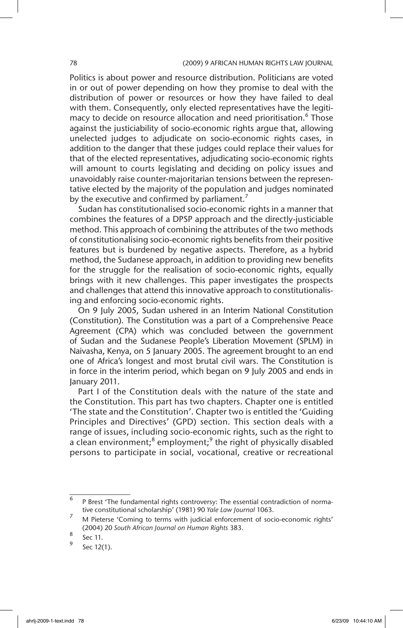Politics is about power and resource distribution. Politicians are voted in or out of power depending on how they promise to deal with the distribution of power or resources or how they have failed to deal with them. Consequently, only elected representatives have the legitimacy to decide on resource allocation and need prioritisation.<sup>6</sup> Those against the justiciability of socio-economic rights argue that, allowing unelected judges to adjudicate on socio-economic rights cases, in addition to the danger that these judges could replace their values for that of the elected representatives, adjudicating socio-economic rights will amount to courts legislating and deciding on policy issues and unavoidably raise counter-majoritarian tensions between the representative elected by the majority of the population and judges nominated by the executive and confirmed by parliament.<sup>7</sup>

Sudan has constitutionalised socio-economic rights in a manner that combines the features of a DPSP approach and the directly-justiciable method. This approach of combining the attributes of the two methods of constitutionalising socio-economic rights benefits from their positive features but is burdened by negative aspects. Therefore, as a hybrid method, the Sudanese approach, in addition to providing new benefits for the struggle for the realisation of socio-economic rights, equally brings with it new challenges. This paper investigates the prospects and challenges that attend this innovative approach to constitutionalising and enforcing socio-economic rights.

On 9 July 2005, Sudan ushered in an Interim National Constitution (Constitution). The Constitution was a part of a Comprehensive Peace Agreement (CPA) which was concluded between the government of Sudan and the Sudanese People's Liberation Movement (SPLM) in Naivasha, Kenya, on 5 January 2005. The agreement brought to an end one of Africa's longest and most brutal civil wars. The Constitution is in force in the interim period, which began on 9 July 2005 and ends in January 2011.

Part I of the Constitution deals with the nature of the state and the Constitution. This part has two chapters. Chapter one is entitled 'The state and the Constitution'. Chapter two is entitled the 'Guiding Principles and Directives' (GPD) section. This section deals with a range of issues, including socio-economic rights, such as the right to a clean environment;<sup>8</sup> employment;<sup>9</sup> the right of physically disabled persons to participate in social, vocational, creative or recreational

<sup>6</sup> P Brest 'The fundamental rights controversy: The essential contradiction of normative constitutional scholarship' (1981) 90 *Yale Law Journal* 1063.

<sup>&</sup>lt;sup>7</sup> M Pieterse 'Coming to terms with judicial enforcement of socio-economic rights' (2004) 20 *South African Journal on Human Rights* 383.

 $\frac{8}{9}$  Sec 11.

Sec 12(1).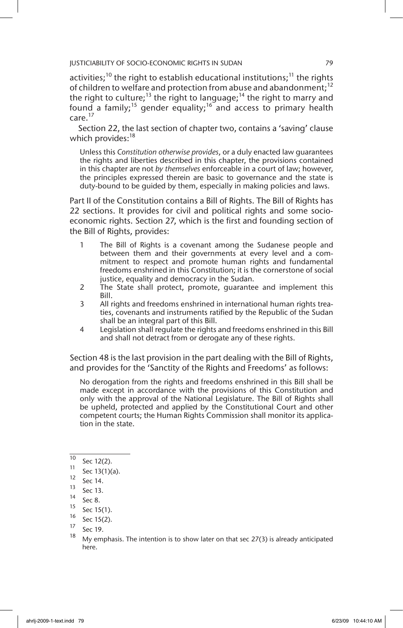activities;<sup>10</sup> the right to establish educational institutions;<sup>11</sup> the rights of children to welfare and protection from abuse and abandonment;<sup>12</sup> the right to culture;<sup>13</sup> the right to language;<sup>14</sup> the right to marry and found a family;<sup>15</sup> gender equality;<sup>16</sup> and access to primary health care.<sup>17</sup>

Section 22, the last section of chapter two, contains a 'saving' clause which provides:<sup>18</sup>

Unless this *Constitution otherwise provides*, or a duly enacted law guarantees the rights and liberties described in this chapter, the provisions contained in this chapter are not *by themselves* enforceable in a court of law; however, the principles expressed therein are basic to governance and the state is duty-bound to be guided by them, especially in making policies and laws.

Part II of the Constitution contains a Bill of Rights. The Bill of Rights has 22 sections. It provides for civil and political rights and some socioeconomic rights. Section 27, which is the first and founding section of the Bill of Rights, provides:

- 1 The Bill of Rights is a covenant among the Sudanese people and between them and their governments at every level and a commitment to respect and promote human rights and fundamental freedoms enshrined in this Constitution; it is the cornerstone of social justice, equality and democracy in the Sudan.
- 2 The State shall protect, promote, guarantee and implement this Bill.
- 3 All rights and freedoms enshrined in international human rights treaties, covenants and instruments ratified by the Republic of the Sudan shall be an integral part of this Bill.
- 4 Legislation shall regulate the rights and freedoms enshrined in this Bill and shall not detract from or derogate any of these rights.

Section 48 is the last provision in the part dealing with the Bill of Rights, and provides for the 'Sanctity of the Rights and Freedoms' as follows:

No derogation from the rights and freedoms enshrined in this Bill shall be made except in accordance with the provisions of this Constitution and only with the approval of the National Legislature. The Bill of Rights shall be upheld, protected and applied by the Constitutional Court and other competent courts; the Human Rights Commission shall monitor its application in the state.

 $^{10}$  Sec 12(2).

 $\frac{11}{12}$  Sec 13(1)(a).

 $\frac{12}{13}$  Sec 14.

Sec 13.

 $14$  Sec 8.

 $^{15}$  Sec 15(1).

 $^{16}$  Sec 15(2).

 $\frac{17}{18}$  Sec 19.

My emphasis. The intention is to show later on that sec  $27(3)$  is already anticipated here.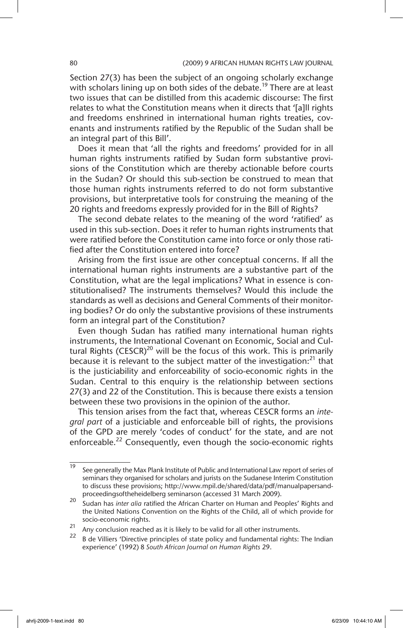Section 27(3) has been the subject of an ongoing scholarly exchange with scholars lining up on both sides of the debate.<sup>19</sup> There are at least two issues that can be distilled from this academic discourse: The first relates to what the Constitution means when it directs that '[a]ll rights and freedoms enshrined in international human rights treaties, covenants and instruments ratified by the Republic of the Sudan shall be an integral part of this Bill'.

Does it mean that 'all the rights and freedoms' provided for in all human rights instruments ratified by Sudan form substantive provisions of the Constitution which are thereby actionable before courts in the Sudan? Or should this sub-section be construed to mean that those human rights instruments referred to do not form substantive provisions, but interpretative tools for construing the meaning of the 20 rights and freedoms expressly provided for in the Bill of Rights?

The second debate relates to the meaning of the word 'ratified' as used in this sub-section. Does it refer to human rights instruments that were ratified before the Constitution came into force or only those ratified after the Constitution entered into force?

Arising from the first issue are other conceptual concerns. If all the international human rights instruments are a substantive part of the Constitution, what are the legal implications? What in essence is constitutionalised? The instruments themselves? Would this include the standards as well as decisions and General Comments of their monitoring bodies? Or do only the substantive provisions of these instruments form an integral part of the Constitution?

Even though Sudan has ratified many international human rights instruments, the International Covenant on Economic, Social and Cultural Rights (CESCR)<sup>20</sup> will be the focus of this work. This is primarily because it is relevant to the subject matter of the investigation: $21$  that is the justiciability and enforceability of socio-economic rights in the Sudan. Central to this enquiry is the relationship between sections 27(3) and 22 of the Constitution. This is because there exists a tension between these two provisions in the opinion of the author.

This tension arises from the fact that, whereas CESCR forms an *integral part* of a justiciable and enforceable bill of rights, the provisions of the GPD are merely 'codes of conduct' for the state, and are not enforceable.<sup>22</sup> Consequently, even though the socio-economic rights

<sup>&</sup>lt;sup>19</sup> See generally the Max Plank Institute of Public and International Law report of series of seminars they organised for scholars and jurists on the Sudanese Interim Constitution to discuss these provisions; http://www.mpil.de/shared/data/pdf/manualpapersandproceedingsoftheheidelberg seminarson (accessed 31 March 2009).

<sup>20</sup> Sudan has *inter alia* ratified the African Charter on Human and Peoples' Rights and the United Nations Convention on the Rights of the Child, all of which provide for socio-economic rights.

 $21$  Any conclusion reached as it is likely to be valid for all other instruments.

<sup>22</sup> B de Villiers 'Directive principles of state policy and fundamental rights: The Indian experience' (1992) 8 *South African Journal on Human Rights* 29.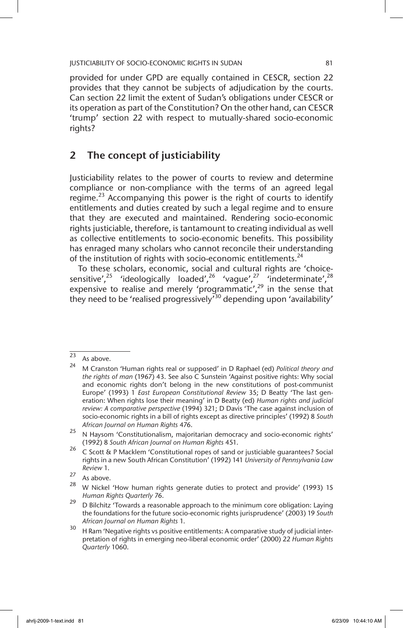provided for under GPD are equally contained in CESCR, section 22 provides that they cannot be subjects of adjudication by the courts. Can section 22 limit the extent of Sudan's obligations under CESCR or its operation as part of the Constitution? On the other hand, can CESCR 'trump' section 22 with respect to mutually-shared socio-economic rights?

### 2 The concept of justiciability

Justiciability relates to the power of courts to review and determine compliance or non-compliance with the terms of an agreed legal regime.<sup>23</sup> Accompanying this power is the right of courts to identify entitlements and duties created by such a legal regime and to ensure that they are executed and maintained. Rendering socio-economic rights justiciable, therefore, is tantamount to creating individual as well as collective entitlements to socio-economic benefits. This possibility has enraged many scholars who cannot reconcile their understanding of the institution of rights with socio-economic entitlements.<sup>24</sup>

To these scholars, economic, social and cultural rights are 'choicesensitive',<sup>25</sup> 'ideologically loaded',<sup>26</sup> 'vague',<sup>27</sup> 'indeterminate',<sup>28</sup> expensive to realise and merely 'programmatic',<sup>29</sup> in the sense that they need to be 'realised progressively<sup>730</sup> depending upon 'availability'

 $\frac{23}{24}$  As above.

<sup>24</sup> M Cranston 'Human rights real or supposed' in D Raphael (ed) *Political theory and the rights of man* (1967) 43. See also C Sunstein 'Against positive rights: Why social and economic rights don't belong in the new constitutions of post-communist Europe' (1993) 1 *East European Constitutional Review* 35; D Beatty 'The last generation: When rights lose their meaning' in D Beatty (ed) *Human rights and judicial review: A comparative perspective* (1994) 321; D Davis 'The case against inclusion of socio-economic rights in a bill of rights except as directive principles' (1992) 8 *South African Journal on Human Rights* 476.

<sup>&</sup>lt;sup>25</sup> N Haysom 'Constitutionalism, majoritarian democracy and socio-economic rights' (1992) 8 *South African Journal on Human Rights* 451.

<sup>26</sup> C Scott & P Macklem 'Constitutional ropes of sand or justiciable guarantees? Social rights in a new South African Constitution' (1992) 141 *University of Pennsylvania Law Review* 1.

 $\frac{27}{28}$  As above.

<sup>28</sup> W Nickel 'How human rights generate duties to protect and provide' (1993) 15 *Human Rights Quarterly* 76.

 $29$  D Bilchitz 'Towards a reasonable approach to the minimum core obligation: Laying the foundations for the future socio-economic rights jurisprudence' (2003) 19 *South African Journal on Human Rights* 1.

<sup>&</sup>lt;sup>30</sup> H Ram 'Negative rights vs positive entitlements: A comparative study of judicial interpretation of rights in emerging neo-liberal economic order' (2000) 22 *Human Rights Quarterly* 1060.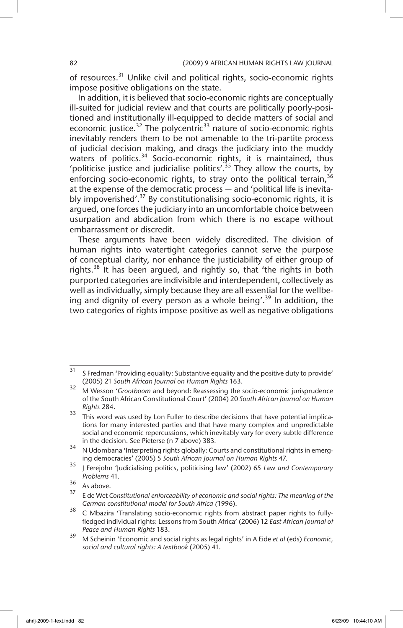of resources.<sup>31</sup> Unlike civil and political rights, socio-economic rights impose positive obligations on the state.

In addition, it is believed that socio-economic rights are conceptually ill-suited for judicial review and that courts are politically poorly-positioned and institutionally ill-equipped to decide matters of social and economic justice. $32$  The polycentric<sup>33</sup> nature of socio-economic rights inevitably renders them to be not amenable to the tri-partite process of judicial decision making, and drags the judiciary into the muddy waters of politics.<sup>34</sup> Socio-economic rights, it is maintained, thus 'politicise justice and judicialise politics'.<sup>35</sup> They allow the courts, by enforcing socio-economic rights, to stray onto the political terrain,  $36$ at the expense of the democratic process — and 'political life is inevitably impoverished'.<sup>37</sup> By constitutionalising socio-economic rights, it is argued, one forces the judiciary into an uncomfortable choice between usurpation and abdication from which there is no escape without embarrassment or discredit.

These arguments have been widely discredited. The division of human rights into watertight categories cannot serve the purpose of conceptual clarity, nor enhance the justiciability of either group of rights.<sup>38</sup> It has been argued, and rightly so, that 'the rights in both purported categories are indivisible and interdependent, collectively as well as individually, simply because they are all essential for the wellbeing and dignity of every person as a whole being'.<sup>39</sup> In addition, the two categories of rights impose positive as well as negative obligations

 $\frac{31}{10}$  S Fredman 'Providing equality: Substantive equality and the positive duty to provide' (2005) 21 *South African Journal on Human Rights* 163.

<sup>32</sup> M Wesson '*Grootboom* and beyond: Reassessing the socio-economic jurisprudence of the South African Constitutional Court' (2004) 20 *South African Journal on Human Rights* 284.

<sup>&</sup>lt;sup>33</sup> This word was used by Lon Fuller to describe decisions that have potential implications for many interested parties and that have many complex and unpredictable social and economic repercussions, which inevitably vary for every subtle difference in the decision. See Pieterse (n 7 above) 383*.*

<sup>&</sup>lt;sup>34</sup> N Udombana 'Interpreting rights globally: Courts and constitutional rights in emerging democracies' (2005) 5 *South African Journal on Human Rights* 47.

<sup>35</sup> J Ferejohn 'Judicialising politics, politicising law' (2002) 65 *L*aw *and Contemporary Problems* 41.

 $\frac{36}{37}$  As above.

<sup>37</sup> E de Wet *Constitutional enforceability of economic and social rights: The meaning of the German constitutional model for South Africa (*1996).

<sup>38</sup> C Mbazira 'Translating socio-economic rights from abstract paper rights to fullyfledged individual rights: Lessons from South Africa' (2006) 12 *East African Journal of Peace and Human Rights* 183.

<sup>39</sup> M Scheinin 'Economic and social rights as legal rights' in A Eide *et al* (eds) *Economic, social and cultural rights: A textbook* (2005) 41.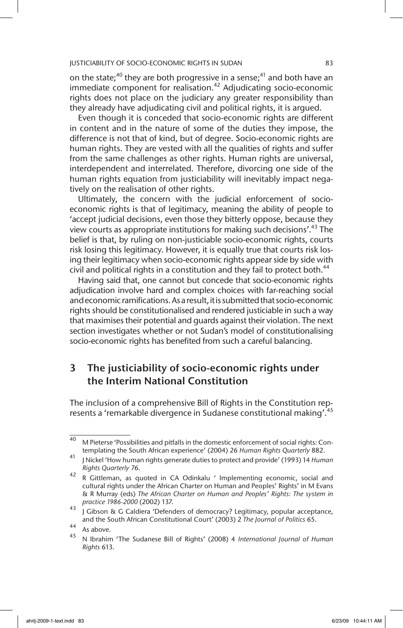on the state;<sup>40</sup> they are both progressive in a sense;<sup>41</sup> and both have an immediate component for realisation.<sup>42</sup> Adjudicating socio-economic rights does not place on the judiciary any greater responsibility than they already have adjudicating civil and political rights, it is argued.

Even though it is conceded that socio-economic rights are different in content and in the nature of some of the duties they impose, the difference is not that of kind, but of degree. Socio-economic rights are human rights. They are vested with all the qualities of rights and suffer from the same challenges as other rights. Human rights are universal, interdependent and interrelated. Therefore, divorcing one side of the human rights equation from justiciability will inevitably impact negatively on the realisation of other rights.

Ultimately, the concern with the judicial enforcement of socioeconomic rights is that of legitimacy, meaning the ability of people to 'accept judicial decisions, even those they bitterly oppose, because they view courts as appropriate institutions for making such decisions'.<sup>43</sup> The belief is that, by ruling on non-justiciable socio-economic rights, courts risk losing this legitimacy. However, it is equally true that courts risk losing their legitimacy when socio-economic rights appear side by side with civil and political rights in a constitution and they fail to protect both.<sup>44</sup>

Having said that, one cannot but concede that socio-economic rights adjudication involve hard and complex choices with far-reaching social and economic ramifications. As a result, it is submitted that socio-economic rights should be constitutionalised and rendered justiciable in such a way that maximises their potential and guards against their violation. The next section investigates whether or not Sudan's model of constitutionalising socio-economic rights has benefited from such a careful balancing.

# 3 The justiciability of socio-economic rights under the Interim National Constitution

The inclusion of a comprehensive Bill of Rights in the Constitution represents a 'remarkable divergence in Sudanese constitutional making'.<sup>45</sup>

<sup>&</sup>lt;sup>40</sup> M Pieterse 'Possibilities and pitfalls in the domestic enforcement of social rights: Contemplating the South African experience' (2004) 26 *Human Rights Quarterly* 882.

<sup>41</sup> J Nickel 'How human rights generate duties to protect and provide' (1993) 14 *Human Rights Quarterly* 76.

<sup>&</sup>lt;sup>42</sup> R Gittleman, as quoted in CA Odinkalu ' Implementing economic, social and cultural rights under the African Charter on Human and Peoples' Rights' in M Evans & R Murray (eds) *The African Charter on Human and Peoples' Rights: The system in practice 1986-2000* (2002) 137.

 $\frac{43}{7}$  J Gibson & G Caldiera 'Defenders of democracy? Legitimacy, popular acceptance, and the South African Constitutional Court' (2003) 2 *The Journal of Politics* 65.

 $44$  As above.

<sup>45</sup> N Ibrahim 'The Sudanese Bill of Rights' (2008) 4 *International Journal of Human Rights* 613.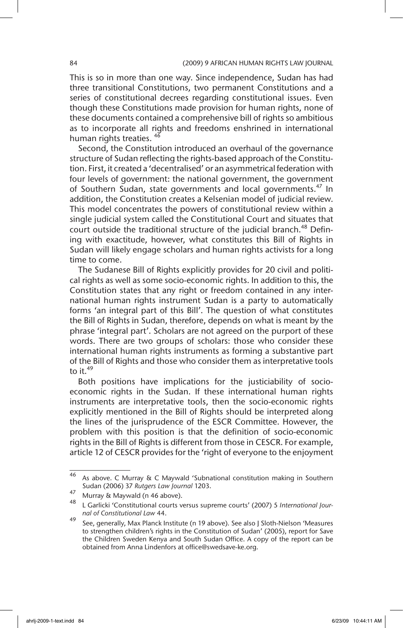This is so in more than one way. Since independence, Sudan has had three transitional Constitutions, two permanent Constitutions and a series of constitutional decrees regarding constitutional issues. Even though these Constitutions made provision for human rights, none of these documents contained a comprehensive bill of rights so ambitious as to incorporate all rights and freedoms enshrined in international human rights treaties. <sup>46</sup>

Second, the Constitution introduced an overhaul of the governance structure of Sudan reflecting the rights-based approach of the Constitution. First, it created a 'decentralised' or an asymmetrical federation with four levels of government: the national government, the government of Southern Sudan, state governments and local governments.<sup>47</sup> In addition, the Constitution creates a Kelsenian model of judicial review. This model concentrates the powers of constitutional review within a single judicial system called the Constitutional Court and situates that court outside the traditional structure of the judicial branch.<sup>48</sup> Defining with exactitude, however, what constitutes this Bill of Rights in Sudan will likely engage scholars and human rights activists for a long time to come.

The Sudanese Bill of Rights explicitly provides for 20 civil and political rights as well as some socio-economic rights. In addition to this, the Constitution states that any right or freedom contained in any international human rights instrument Sudan is a party to automatically forms 'an integral part of this Bill'. The question of what constitutes the Bill of Rights in Sudan, therefore, depends on what is meant by the phrase 'integral part'. Scholars are not agreed on the purport of these words. There are two groups of scholars: those who consider these international human rights instruments as forming a substantive part of the Bill of Rights and those who consider them as interpretative tools to it. $49$ 

Both positions have implications for the justiciability of socioeconomic rights in the Sudan. If these international human rights instruments are interpretative tools, then the socio-economic rights explicitly mentioned in the Bill of Rights should be interpreted along the lines of the jurisprudence of the ESCR Committee. However, the problem with this position is that the definition of socio-economic rights in the Bill of Rights is different from those in CESCR. For example, article 12 of CESCR provides for the 'right of everyone to the enjoyment

<sup>46</sup> As above. C Murray & C Maywald 'Subnational constitution making in Southern Sudan (2006) 37 *Rutgers Law Journal* 1203.

<sup>47</sup> Murray & Maywald (n 46 above).

<sup>48</sup> L Garlicki 'Constitutional courts versus supreme courts' (2007) 5 *International Journal of Constitutional Law* 44.

<sup>49</sup> See, generally, Max Planck Institute (n 19 above). See also J Sloth-Nielson 'Measures to strengthen children's rights in the Constitution of Sudan' (2005), report for Save the Children Sweden Kenya and South Sudan Office. A copy of the report can be obtained from Anna Lindenfors at office@swedsave-ke.org.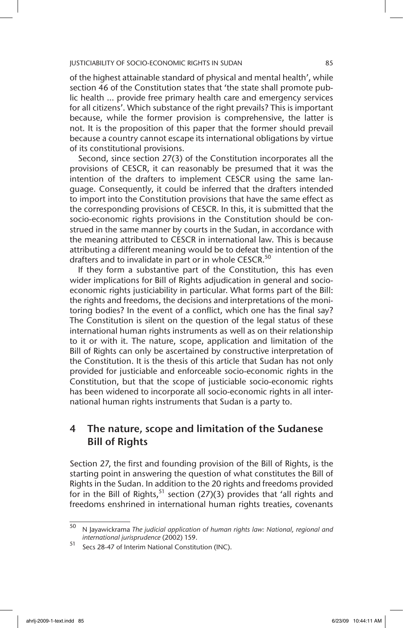of the highest attainable standard of physical and mental health', while section 46 of the Constitution states that 'the state shall promote public health ... provide free primary health care and emergency services for all citizens'. Which substance of the right prevails? This is important because, while the former provision is comprehensive, the latter is not. It is the proposition of this paper that the former should prevail because a country cannot escape its international obligations by virtue of its constitutional provisions.

Second, since section 27(3) of the Constitution incorporates all the provisions of CESCR, it can reasonably be presumed that it was the intention of the drafters to implement CESCR using the same language. Consequently, it could be inferred that the drafters intended to import into the Constitution provisions that have the same effect as the corresponding provisions of CESCR. In this, it is submitted that the socio-economic rights provisions in the Constitution should be construed in the same manner by courts in the Sudan, in accordance with the meaning attributed to CESCR in international law. This is because attributing a different meaning would be to defeat the intention of the drafters and to invalidate in part or in whole CESCR.<sup>50</sup>

If they form a substantive part of the Constitution, this has even wider implications for Bill of Rights adjudication in general and socioeconomic rights justiciability in particular. What forms part of the Bill: the rights and freedoms, the decisions and interpretations of the monitoring bodies? In the event of a conflict, which one has the final say? The Constitution is silent on the question of the legal status of these international human rights instruments as well as on their relationship to it or with it. The nature, scope, application and limitation of the Bill of Rights can only be ascertained by constructive interpretation of the Constitution. It is the thesis of this article that Sudan has not only provided for justiciable and enforceable socio-economic rights in the Constitution, but that the scope of justiciable socio-economic rights has been widened to incorporate all socio-economic rights in all international human rights instruments that Sudan is a party to.

## 4 The nature, scope and limitation of the Sudanese Bill of Rights

Section 27, the first and founding provision of the Bill of Rights, is the starting point in answering the question of what constitutes the Bill of Rights in the Sudan. In addition to the 20 rights and freedoms provided for in the Bill of Rights,  $51$  section (27)(3) provides that 'all rights and freedoms enshrined in international human rights treaties, covenants

<sup>50</sup> N Jayawickrama *The judicial application of human rights law: National, regional and international jurisprudence* (2002) 159.

<sup>51</sup> Secs 28-47 of Interim National Constitution (INC).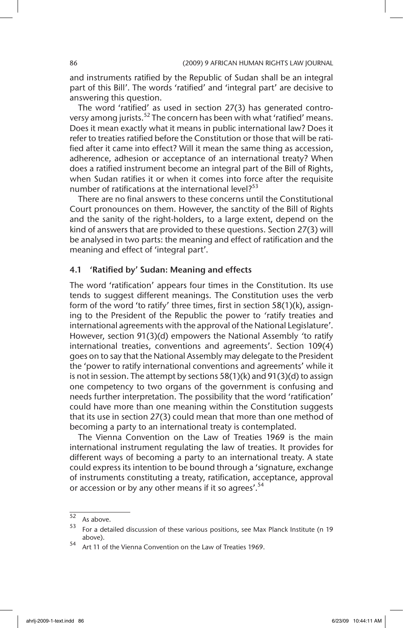and instruments ratified by the Republic of Sudan shall be an integral part of this Bill'. The words 'ratified' and 'integral part' are decisive to answering this question.

The word 'ratified' as used in section 27(3) has generated controversy among jurists.<sup>52</sup> The concern has been with what 'ratified' means. Does it mean exactly what it means in public international law? Does it refer to treaties ratified before the Constitution or those that will be ratified after it came into effect? Will it mean the same thing as accession, adherence, adhesion or acceptance of an international treaty? When does a ratified instrument become an integral part of the Bill of Rights, when Sudan ratifies it or when it comes into force after the requisite number of ratifications at the international level? $53$ 

There are no final answers to these concerns until the Constitutional Court pronounces on them. However, the sanctity of the Bill of Rights and the sanity of the right-holders, to a large extent, depend on the kind of answers that are provided to these questions. Section 27(3) will be analysed in two parts: the meaning and effect of ratification and the meaning and effect of 'integral part'.

### 4.1 'Ratified by' Sudan: Meaning and effects

The word 'ratification' appears four times in the Constitution. Its use tends to suggest different meanings. The Constitution uses the verb form of the word 'to ratify' three times, first in section 58(1)(k), assigning to the President of the Republic the power to *'*ratify treaties and international agreements with the approval of the National Legislature'. However, section 91(3)(d) empowers the National Assembly *'*to ratify international treaties, conventions and agreements'. Section 109(4) goes on to say that the National Assembly may delegate to the President the 'power to ratify international conventions and agreements' while it is not in session. The attempt by sections 58(1)(k) and 91(3)(d) to assign one competency to two organs of the government is confusing and needs further interpretation. The possibility that the word 'ratification' could have more than one meaning within the Constitution suggests that its use in section 27(3) could mean that more than one method of becoming a party to an international treaty is contemplated.

The Vienna Convention on the Law of Treaties 1969 is the main international instrument regulating the law of treaties. It provides for different ways of becoming a party to an international treaty. A state could express its intention to be bound through a 'signature, exchange of instruments constituting a treaty, ratification, acceptance, approval or accession or by any other means if it so agrees'.<sup>54</sup>

 $\begin{array}{c} 52 \\ 53 \end{array}$  As above.

<sup>53</sup> For a detailed discussion of these various positions, see Max Planck Institute (n 19 above).

<sup>54</sup> Art 11 of the Vienna Convention on the Law of Treaties 1969.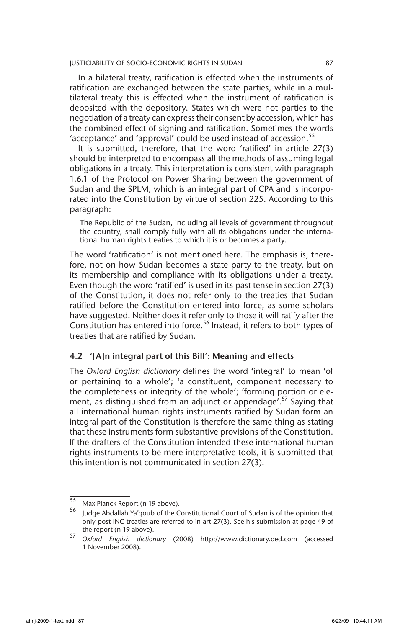In a bilateral treaty, ratification is effected when the instruments of ratification are exchanged between the state parties, while in a multilateral treaty this is effected when the instrument of ratification is deposited with the depository. States which were not parties to the negotiation of a treaty can express their consent by accession, which has the combined effect of signing and ratification. Sometimes the words 'acceptance' and 'approval' could be used instead of accession.<sup>55</sup>

It is submitted, therefore, that the word 'ratified' in article 27(3) should be interpreted to encompass all the methods of assuming legal obligations in a treaty. This interpretation is consistent with paragraph 1.6.1 of the Protocol on Power Sharing between the government of Sudan and the SPLM, which is an integral part of CPA and is incorporated into the Constitution by virtue of section 225. According to this paragraph:

The Republic of the Sudan, including all levels of government throughout the country, shall comply fully with all its obligations under the international human rights treaties to which it is or becomes a party.

The word 'ratification' is not mentioned here. The emphasis is, therefore, not on how Sudan becomes a state party to the treaty, but on its membership and compliance with its obligations under a treaty. Even though the word 'ratified' is used in its past tense in section 27(3) of the Constitution, it does not refer only to the treaties that Sudan ratified before the Constitution entered into force, as some scholars have suggested. Neither does it refer only to those it will ratify after the Constitution has entered into force.<sup>56</sup> Instead, it refers to both types of treaties that are ratified by Sudan.

### 4.2 '[A]n integral part of this Bill': Meaning and effects

The *Oxford English dictionary* defines the word 'integral' to mean 'of or pertaining to a whole'; 'a constituent, component necessary to the completeness or integrity of the whole'; 'forming portion or element, as distinguished from an adjunct or appendage'.<sup>57</sup> Saying that all international human rights instruments ratified by Sudan form an integral part of the Constitution is therefore the same thing as stating that these instruments form substantive provisions of the Constitution. If the drafters of the Constitution intended these international human rights instruments to be mere interpretative tools, it is submitted that this intention is not communicated in section 27(3).

 $\frac{55}{55}$  Max Planck Report (n 19 above).

Judge Abdallah Ya'qoub of the Constitutional Court of Sudan is of the opinion that only post-INC treaties are referred to in art 27(3). See his submission at page 49 of the report (n 19 above).

<sup>57</sup> *Oxford English dictionary* (2008) http://www.dictionary.oed.com (accessed 1 November 2008).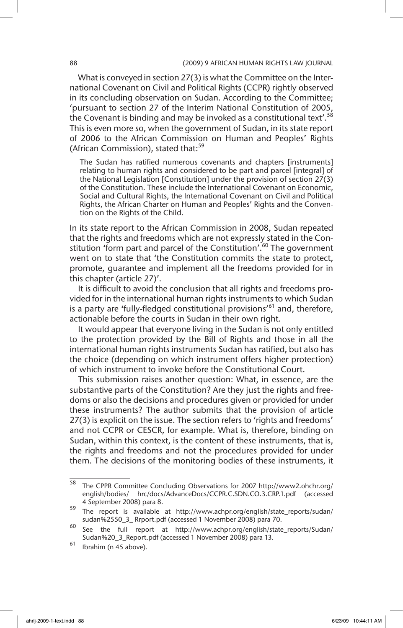What is conveyed in section 27(3) is what the Committee on the International Covenant on Civil and Political Rights (CCPR) rightly observed in its concluding observation on Sudan. According to the Committee; 'pursuant to section 27 of the Interim National Constitution of 2005, the Covenant is binding and may be invoked as a constitutional text'.<sup>58</sup> This is even more so, when the government of Sudan, in its state report of 2006 to the African Commission on Human and Peoples' Rights (African Commission), stated that:<sup>59</sup>

The Sudan has ratified numerous covenants and chapters [instruments] relating to human rights and considered to be part and parcel [integral] of the National Legislation [Constitution] under the provision of section 27(3) of the Constitution. These include the International Covenant on Economic, Social and Cultural Rights, the International Covenant on Civil and Political Rights, the African Charter on Human and Peoples' Rights and the Convention on the Rights of the Child.

In its state report to the African Commission in 2008, Sudan repeated that the rights and freedoms which are not expressly stated in the Constitution 'form part and parcel of the Constitution'.<sup>60</sup> The government went on to state that 'the Constitution commits the state to protect, promote, guarantee and implement all the freedoms provided for in this chapter (article 27)'.

It is difficult to avoid the conclusion that all rights and freedoms provided for in the international human rights instruments to which Sudan is a party are 'fully-fledged constitutional provisions'<sup>61</sup> and, therefore, actionable before the courts in Sudan in their own right.

It would appear that everyone living in the Sudan is not only entitled to the protection provided by the Bill of Rights and those in all the international human rights instruments Sudan has ratified, but also has the choice (depending on which instrument offers higher protection) of which instrument to invoke before the Constitutional Court.

This submission raises another question: What, in essence, are the substantive parts of the Constitution? Are they just the rights and freedoms or also the decisions and procedures given or provided for under these instruments? The author submits that the provision of article 27(3) is explicit on the issue. The section refers to 'rights and freedoms' and not CCPR or CESCR, for example. What is, therefore, binding on Sudan, within this context, is the content of these instruments, that is, the rights and freedoms and not the procedures provided for under them. The decisions of the monitoring bodies of these instruments, it

 $\frac{58}{100}$  The CPPR Committee Concluding Observations for 2007 http://www2.ohchr.org/ english/bodies/ hrc/docs/AdvanceDocs/CCPR.C.SDN.CO.3.CRP.1.pdf (accessed 4 September 2008) para 8.

<sup>59</sup> The report is available at http://www.achpr.org/english/state\_reports/sudan/ sudan%2550\_3\_ Rrport.pdf (accessed 1 November 2008) para 70.

 $\overline{60}$  See the full report at http://www.achpr.org/english/state\_reports/Sudan/ Sudan%20\_3\_Report.pdf (accessed 1 November 2008) para 13.

 $61$  Ibrahim (n 45 above).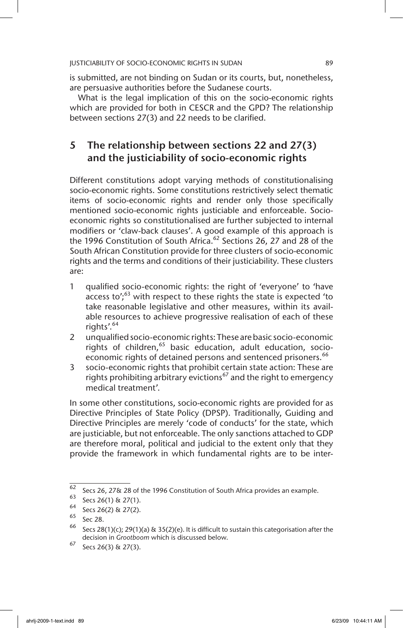is submitted, are not binding on Sudan or its courts, but, nonetheless, are persuasive authorities before the Sudanese courts.

What is the legal implication of this on the socio-economic rights which are provided for both in CESCR and the GPD? The relationship between sections 27(3) and 22 needs to be clarified.

# 5 The relationship between sections 22 and 27(3) and the justiciability of socio-economic rights

Different constitutions adopt varying methods of constitutionalising socio-economic rights. Some constitutions restrictively select thematic items of socio-economic rights and render only those specifically mentioned socio-economic rights justiciable and enforceable. Socioeconomic rights so constitutionalised are further subjected to internal modifiers or 'claw-back clauses'. A good example of this approach is the 1996 Constitution of South Africa.<sup>62</sup> Sections 26, 27 and 28 of the South African Constitution provide for three clusters of socio-economic rights and the terms and conditions of their justiciability. These clusters are:

- 1 qualified socio-economic rights: the right of 'everyone' to 'have access to';<sup>63</sup> with respect to these rights the state is expected 'to take reasonable legislative and other measures, within its available resources to achieve progressive realisation of each of these rights'.<sup>64</sup>
- 2 unqualified socio-economic rights: These are basic socio-economic rights of children, $65$  basic education, adult education, socioeconomic rights of detained persons and sentenced prisoners.<sup>66</sup>
- 3 socio-economic rights that prohibit certain state action: These are rights prohibiting arbitrary evictions<sup>67</sup> and the right to emergency medical treatment'.

In some other constitutions, socio-economic rights are provided for as Directive Principles of State Policy (DPSP). Traditionally, Guiding and Directive Principles are merely 'code of conducts' for the state, which are justiciable, but not enforceable. The only sanctions attached to GDP are therefore moral, political and judicial to the extent only that they provide the framework in which fundamental rights are to be inter-

<sup>62</sup> Secs 26, 27& 28 of the 1996 Constitution of South Africa provides an example.

 $^{63}$  Secs 26(1) & 27(1).

 $^{64}$  Secs 26(2) & 27(2).

Sec 28.

<sup>&</sup>lt;sup>66</sup> Secs 28(1)(c); 29(1)(a) & 35(2)(e). It is difficult to sustain this categorisation after the decision in *Grootboom* which is discussed below.

 $67$  Secs 26(3) & 27(3).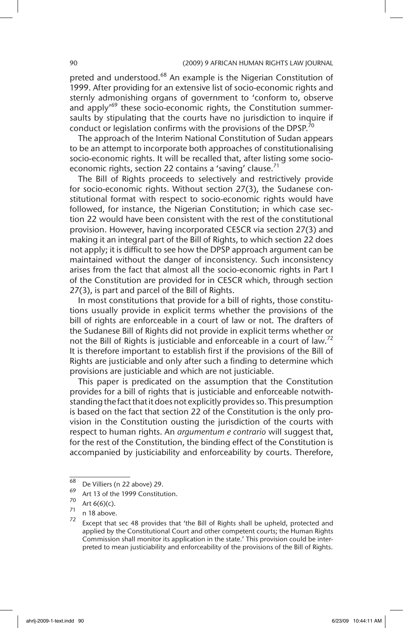preted and understood.<sup>68</sup> An example is the Nigerian Constitution of 1999. After providing for an extensive list of socio-economic rights and sternly admonishing organs of government to 'conform to, observe and apply<sup>169</sup> these socio-economic rights, the Constitution summersaults by stipulating that the courts have no jurisdiction to inquire if conduct or legislation confirms with the provisions of the DPSP.<sup>70</sup>

The approach of the Interim National Constitution of Sudan appears to be an attempt to incorporate both approaches of constitutionalising socio-economic rights. It will be recalled that, after listing some socioeconomic rights, section 22 contains a 'saving' clause.<sup>71</sup>

The Bill of Rights proceeds to selectively and restrictively provide for socio-economic rights. Without section 27(3), the Sudanese constitutional format with respect to socio-economic rights would have followed, for instance, the Nigerian Constitution; in which case section 22 would have been consistent with the rest of the constitutional provision. However, having incorporated CESCR via section 27(3) and making it an integral part of the Bill of Rights, to which section 22 does not apply; it is difficult to see how the DPSP approach argument can be maintained without the danger of inconsistency. Such inconsistency arises from the fact that almost all the socio-economic rights in Part I of the Constitution are provided for in CESCR which, through section 27(3), is part and parcel of the Bill of Rights.

In most constitutions that provide for a bill of rights, those constitutions usually provide in explicit terms whether the provisions of the bill of rights are enforceable in a court of law or not. The drafters of the Sudanese Bill of Rights did not provide in explicit terms whether or not the Bill of Rights is justiciable and enforceable in a court of law.<sup>72</sup> It is therefore important to establish first if the provisions of the Bill of Rights are justiciable and only after such a finding to determine which provisions are justiciable and which are not justiciable.

This paper is predicated on the assumption that the Constitution provides for a bill of rights that is justiciable and enforceable notwithstanding the fact that it does not explicitly provides so. This presumption is based on the fact that section 22 of the Constitution is the only provision in the Constitution ousting the jurisdiction of the courts with respect to human rights. An *argumentum e contrario* will suggest that, for the rest of the Constitution, the binding effect of the Constitution is accompanied by justiciability and enforceability by courts. Therefore,

 $^{68}$  De Villiers (n 22 above) 29.

 $\frac{69}{70}$  Art 13 of the 1999 Constitution.

 $\frac{70}{71}$  Art 6(6)(c).

 $\frac{71}{72}$  n 18 above.

Except that sec 48 provides that 'the Bill of Rights shall be upheld, protected and applied by the Constitutional Court and other competent courts; the Human Rights Commission shall monitor its application in the state.' This provision could be interpreted to mean justiciability and enforceability of the provisions of the Bill of Rights.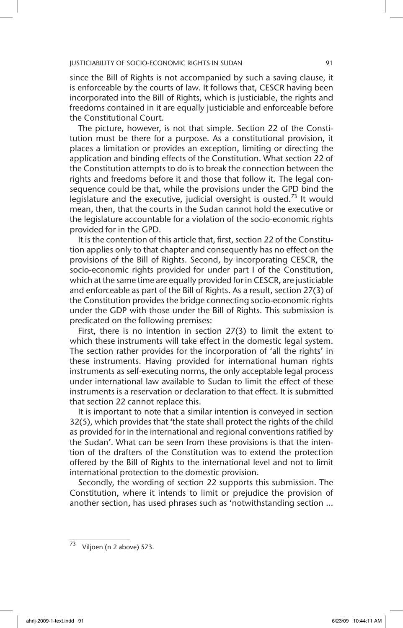since the Bill of Rights is not accompanied by such a saving clause, it is enforceable by the courts of law. It follows that, CESCR having been incorporated into the Bill of Rights, which is justiciable, the rights and freedoms contained in it are equally justiciable and enforceable before the Constitutional Court.

The picture, however, is not that simple. Section 22 of the Constitution must be there for a purpose. As a constitutional provision, it places a limitation or provides an exception, limiting or directing the application and binding effects of the Constitution. What section 22 of the Constitution attempts to do is to break the connection between the rights and freedoms before it and those that follow it. The legal consequence could be that, while the provisions under the GPD bind the legislature and the executive, judicial oversight is ousted.<sup>73</sup> It would mean, then, that the courts in the Sudan cannot hold the executive or the legislature accountable for a violation of the socio-economic rights provided for in the GPD.

It is the contention of this article that, first, section 22 of the Constitution applies only to that chapter and consequently has no effect on the provisions of the Bill of Rights. Second, by incorporating CESCR, the socio-economic rights provided for under part I of the Constitution, which at the same time are equally provided for in CESCR, are justiciable and enforceable as part of the Bill of Rights. As a result, section 27(3) of the Constitution provides the bridge connecting socio-economic rights under the GDP with those under the Bill of Rights. This submission is predicated on the following premises:

First, there is no intention in section 27(3) to limit the extent to which these instruments will take effect in the domestic legal system. The section rather provides for the incorporation of 'all the rights' in these instruments. Having provided for international human rights instruments as self-executing norms, the only acceptable legal process under international law available to Sudan to limit the effect of these instruments is a reservation or declaration to that effect. It is submitted that section 22 cannot replace this.

It is important to note that a similar intention is conveyed in section 32(5), which provides that 'the state shall protect the rights of the child as provided for in the international and regional conventions ratified by the Sudan'. What can be seen from these provisions is that the intention of the drafters of the Constitution was to extend the protection offered by the Bill of Rights to the international level and not to limit international protection to the domestic provision.

Secondly, the wording of section 22 supports this submission. The Constitution, where it intends to limit or prejudice the provision of another section, has used phrases such as 'notwithstanding section ...

 $\overline{73}$  Viljoen (n 2 above) 573.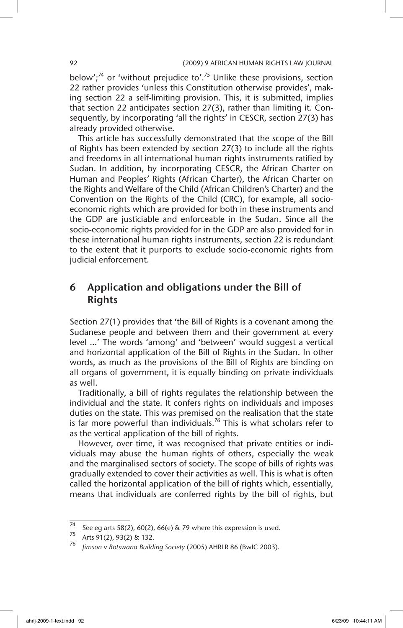below';<sup>74</sup> or 'without prejudice to'.<sup>75</sup> Unlike these provisions, section 22 rather provides 'unless this Constitution otherwise provides', making section 22 a self-limiting provision. This, it is submitted, implies that section 22 anticipates section 27(3), rather than limiting it. Consequently, by incorporating 'all the rights' in CESCR, section 27(3) has already provided otherwise.

This article has successfully demonstrated that the scope of the Bill of Rights has been extended by section 27(3) to include all the rights and freedoms in all international human rights instruments ratified by Sudan. In addition, by incorporating CESCR, the African Charter on Human and Peoples' Rights (African Charter), the African Charter on the Rights and Welfare of the Child (African Children's Charter) and the Convention on the Rights of the Child (CRC), for example, all socioeconomic rights which are provided for both in these instruments and the GDP are justiciable and enforceable in the Sudan. Since all the socio-economic rights provided for in the GDP are also provided for in these international human rights instruments, section 22 is redundant to the extent that it purports to exclude socio-economic rights from judicial enforcement.

# 6 Application and obligations under the Bill of Rights

Section 27(1) provides that 'the Bill of Rights is a covenant among the Sudanese people and between them and their government at every level …' The words 'among' and 'between' would suggest a vertical and horizontal application of the Bill of Rights in the Sudan. In other words, as much as the provisions of the Bill of Rights are binding on all organs of government, it is equally binding on private individuals as well.

Traditionally, a bill of rights regulates the relationship between the individual and the state. It confers rights on individuals and imposes duties on the state. This was premised on the realisation that the state is far more powerful than individuals.<sup>76</sup> This is what scholars refer to as the vertical application of the bill of rights.

However, over time, it was recognised that private entities or individuals may abuse the human rights of others, especially the weak and the marginalised sectors of society. The scope of bills of rights was gradually extended to cover their activities as well. This is what is often called the horizontal application of the bill of rights which, essentially, means that individuals are conferred rights by the bill of rights, but

 $\frac{74}{74}$  See eg arts 58(2), 60(2), 66(e) & 79 where this expression is used.

Arts 91(2), 93(2) & 132.

<sup>76</sup> *Jimson* v *Botswana Building Society* (2005) AHRLR 86 (BwIC 2003).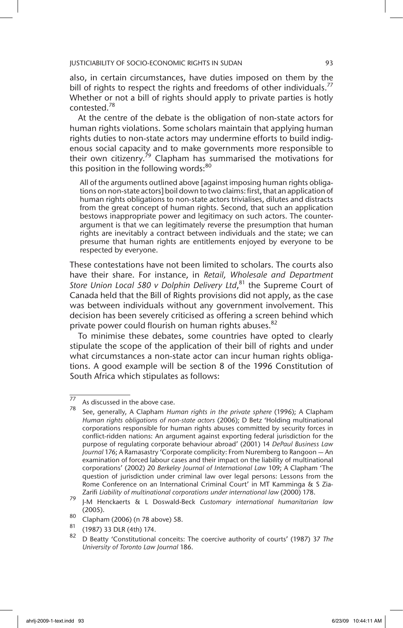also, in certain circumstances, have duties imposed on them by the bill of rights to respect the rights and freedoms of other individuals.<sup>77</sup> Whether or not a bill of rights should apply to private parties is hotly contested.78

At the centre of the debate is the obligation of non-state actors for human rights violations. Some scholars maintain that applying human rights duties to non-state actors may undermine efforts to build indigenous social capacity and to make governments more responsible to their own citizenry.<sup>79</sup> Clapham has summarised the motivations for this position in the following words:<sup>80</sup>

All of the arguments outlined above [against imposing human rights obligations on non-state actors] boil down to two claims: first, that an application of human rights obligations to non-state actors trivialises, dilutes and distracts from the great concept of human rights. Second, that such an application bestows inappropriate power and legitimacy on such actors. The counterargument is that we can legitimately reverse the presumption that human rights are inevitably a contract between individuals and the state; we can presume that human rights are entitlements enjoyed by everyone to be respected by everyone.

These contestations have not been limited to scholars. The courts also have their share. For instance, in *Retail, Wholesale and Department Store Union Local 580 v Dolphin Delivery Ltd*, 81 the Supreme Court of Canada held that the Bill of Rights provisions did not apply, as the case was between individuals without any government involvement. This decision has been severely criticised as offering a screen behind which private power could flourish on human rights abuses.<sup>82</sup>

To minimise these debates, some countries have opted to clearly stipulate the scope of the application of their bill of rights and under what circumstances a non-state actor can incur human rights obligations. A good example will be section 8 of the 1996 Constitution of South Africa which stipulates as follows:

 $\frac{77}{77}$  As discussed in the above case.

<sup>78</sup> See, generally, A Clapham *Human rights in the private sphere* (1996); A Clapham *Human rights obligations of non-state actors* (2006); D Betz 'Holding multinational corporations responsible for human rights abuses committed by security forces in conflict-ridden nations: An argument against exporting federal jurisdiction for the purpose of regulating corporate behaviour abroad' (2001) 14 *DePaul Business Law Journal* 176; A Ramasastry 'Corporate complicity: From Nuremberg to Rangoon — An examination of forced labour cases and their impact on the liability of multinational corporations' (2002) 20 *Berkeley Journal of International Law* 109; A Clapham 'The question of jurisdiction under criminal law over legal persons: Lessons from the Rome Conference on an International Criminal Court' in MT Kamminga & S Zia-Zarifi *Liability of multinational corporations under international law* (2000) 178.

<sup>79</sup> J-M Henckaerts & L Doswald-Beck *Customary international humanitarian law* (2005).

<sup>80</sup> Clapham (2006) (n 78 above) 58.

<sup>81</sup> (1987) 33 DLR (4th) 174.

<sup>82</sup> D Beatty 'Constitutional conceits: The coercive authority of courts' (1987) 37 *The University of Toronto Law Journal* 186.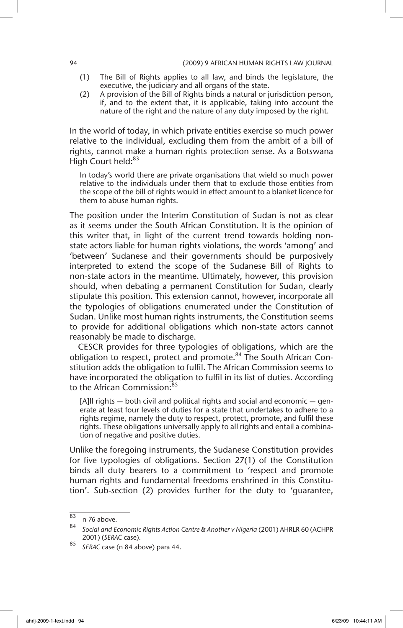- (1) The Bill of Rights applies to all law, and binds the legislature, the executive, the judiciary and all organs of the state.
- (2) A provision of the Bill of Rights binds a natural or jurisdiction person, if, and to the extent that, it is applicable, taking into account the nature of the right and the nature of any duty imposed by the right.

In the world of today, in which private entities exercise so much power relative to the individual, excluding them from the ambit of a bill of rights, cannot make a human rights protection sense. As a Botswana High Court held:<sup>83</sup>

In today's world there are private organisations that wield so much power relative to the individuals under them that to exclude those entities from the scope of the bill of rights would in effect amount to a blanket licence for them to abuse human rights.

The position under the Interim Constitution of Sudan is not as clear as it seems under the South African Constitution. It is the opinion of this writer that, in light of the current trend towards holding nonstate actors liable for human rights violations, the words 'among' and 'between' Sudanese and their governments should be purposively interpreted to extend the scope of the Sudanese Bill of Rights to non-state actors in the meantime. Ultimately, however, this provision should, when debating a permanent Constitution for Sudan, clearly stipulate this position. This extension cannot, however, incorporate all the typologies of obligations enumerated under the Constitution of Sudan. Unlike most human rights instruments, the Constitution seems to provide for additional obligations which non-state actors cannot reasonably be made to discharge.

CESCR provides for three typologies of obligations, which are the obligation to respect, protect and promote.<sup>84</sup> The South African Constitution adds the obligation to fulfil. The African Commission seems to have incorporated the obligation to fulfil in its list of duties. According to the African Commission:<sup>85</sup>

[A]ll rights — both civil and political rights and social and economic — generate at least four levels of duties for a state that undertakes to adhere to a rights regime, namely the duty to respect, protect, promote, and fulfil these rights. These obligations universally apply to all rights and entail a combination of negative and positive duties.

Unlike the foregoing instruments, the Sudanese Constitution provides for five typologies of obligations. Section 27(1) of the Constitution binds all duty bearers to a commitment to 'respect and promote human rights and fundamental freedoms enshrined in this Constitution'. Sub-section (2) provides further for the duty to 'guarantee,

 $\begin{matrix} 83 \\ 84 \end{matrix}$  n 76 above.

<sup>84</sup> *Social and Economic Rights Action Centre & Another v Nigeria* (2001) AHRLR 60 (ACHPR 2001) (*SERAC* case).

<sup>85</sup> *SERAC* case (n 84 above) para 44.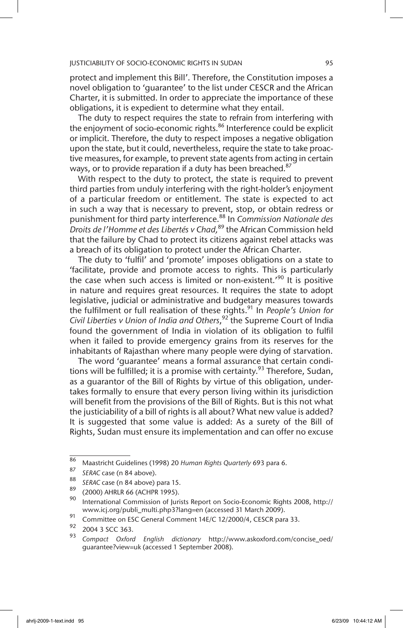protect and implement this Bill'. Therefore, the Constitution imposes a novel obligation to 'guarantee' to the list under CESCR and the African Charter, it is submitted. In order to appreciate the importance of these obligations, it is expedient to determine what they entail.

The duty to respect requires the state to refrain from interfering with the enjoyment of socio-economic rights.<sup>86</sup> Interference could be explicit or implicit. Therefore, the duty to respect imposes a negative obligation upon the state, but it could, nevertheless, require the state to take proactive measures, for example, to prevent state agents from acting in certain ways, or to provide reparation if a duty has been breached.<sup>87</sup>

With respect to the duty to protect, the state is required to prevent third parties from unduly interfering with the right-holder's enjoyment of a particular freedom or entitlement. The state is expected to act in such a way that is necessary to prevent, stop, or obtain redress or punishment for third party interference.88 In *Commission Nationale des Droits de l'Homme et des Libertés v Chad,*<sup>89</sup> the African Commission held that the failure by Chad to protect its citizens against rebel attacks was a breach of its obligation to protect under the African Charter.

The duty to 'fulfil' and 'promote' imposes obligations on a state to 'facilitate, provide and promote access to rights. This is particularly the case when such access is limited or non-existent.'90 It is positive in nature and requires great resources. It requires the state to adopt legislative, judicial or administrative and budgetary measures towards the fulfilment or full realisation of these rights.91 In *People's Union for Civil Liberties v Union of India and Others*, <sup>92</sup> the Supreme Court of India found the government of India in violation of its obligation to fulfil when it failed to provide emergency grains from its reserves for the inhabitants of Rajasthan where many people were dying of starvation.

The word 'guarantee' means a formal assurance that certain conditions will be fulfilled; it is a promise with certainty.<sup>93</sup> Therefore, Sudan, as a guarantor of the Bill of Rights by virtue of this obligation, undertakes formally to ensure that every person living within its jurisdiction will benefit from the provisions of the Bill of Rights. But is this not what the justiciability of a bill of rights is all about? What new value is added? It is suggested that some value is added: As a surety of the Bill of Rights, Sudan must ensure its implementation and can offer no excuse

<sup>86</sup> Maastricht Guidelines (1998) 20 *Human Rights Quarterly* 693 para 6.

<sup>&</sup>lt;sup>87</sup> *SERAC* case (n 84 above).

<sup>&</sup>lt;sup>88</sup> *SERAC* case (n 84 above) para 15.

 $\frac{89}{90}$  (2000) AHRLR 66 (ACHPR 1995).

<sup>90</sup> International Commission of Jurists Report on Socio-Economic Rights 2008, http:// www.icj.org/publi\_multi.php3?lang=en (accessed 31 March 2009).

<sup>91</sup> Committee on ESC General Comment 14E/C 12/2000/4, CESCR para 33.

 $^{92}$  2004 3 SCC 363.

<sup>93</sup> *Compact Oxford English dictionary* http://www.askoxford.com/concise\_oed/ guarantee?view=uk (accessed 1 September 2008).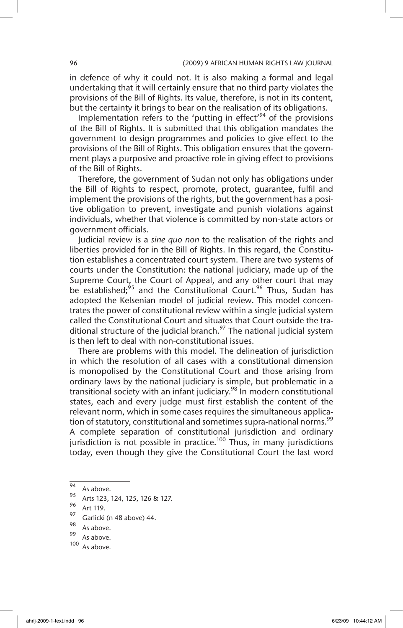in defence of why it could not. It is also making a formal and legal undertaking that it will certainly ensure that no third party violates the provisions of the Bill of Rights. Its value, therefore, is not in its content, but the certainty it brings to bear on the realisation of its obligations.

Implementation refers to the 'putting in effect'<sup>94</sup> of the provisions of the Bill of Rights. It is submitted that this obligation mandates the government to design programmes and policies to give effect to the provisions of the Bill of Rights. This obligation ensures that the government plays a purposive and proactive role in giving effect to provisions of the Bill of Rights.

Therefore, the government of Sudan not only has obligations under the Bill of Rights to respect, promote, protect, guarantee, fulfil and implement the provisions of the rights, but the government has a positive obligation to prevent, investigate and punish violations against individuals, whether that violence is committed by non-state actors or government officials.

Judicial review is a *sine quo non* to the realisation of the rights and liberties provided for in the Bill of Rights. In this regard, the Constitution establishes a concentrated court system. There are two systems of courts under the Constitution: the national judiciary, made up of the Supreme Court, the Court of Appeal, and any other court that may be established;<sup>95</sup> and the Constitutional Court.<sup>96</sup> Thus, Sudan has adopted the Kelsenian model of judicial review. This model concentrates the power of constitutional review within a single judicial system called the Constitutional Court and situates that Court outside the traditional structure of the judicial branch. $97$  The national judicial system is then left to deal with non-constitutional issues.

There are problems with this model. The delineation of jurisdiction in which the resolution of all cases with a constitutional dimension is monopolised by the Constitutional Court and those arising from ordinary laws by the national judiciary is simple, but problematic in a transitional society with an infant judiciary.<sup>98</sup> In modern constitutional states, each and every judge must first establish the content of the relevant norm, which in some cases requires the simultaneous application of statutory, constitutional and sometimes supra-national norms.<sup>99</sup> A complete separation of constitutional jurisdiction and ordinary jurisdiction is not possible in practice.<sup>100</sup> Thus, in many jurisdictions today, even though they give the Constitutional Court the last word

- $\frac{99}{100}$  As above.
- As above.

 $\frac{94}{95}$  As above.

<sup>&</sup>lt;sup>95</sup> Arts 123, 124, 125, 126 & 127.

 $\frac{96}{97}$  Art 119.

 $^{97}$  Garlicki (n 48 above) 44.

 $\frac{90}{99}$  As above.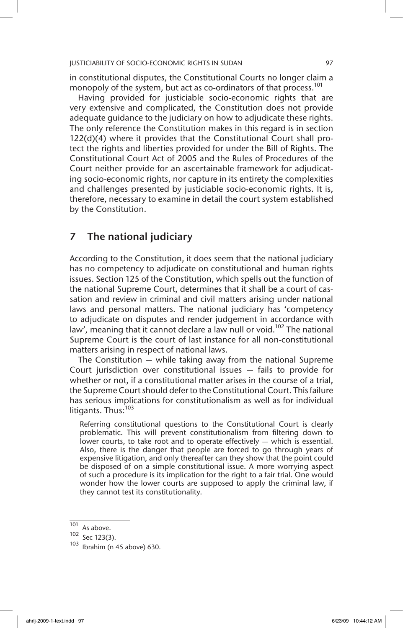in constitutional disputes, the Constitutional Courts no longer claim a monopoly of the system, but act as co-ordinators of that process.<sup>101</sup>

Having provided for justiciable socio-economic rights that are very extensive and complicated, the Constitution does not provide adequate guidance to the judiciary on how to adjudicate these rights. The only reference the Constitution makes in this regard is in section 122(d)(4) where it provides that the Constitutional Court shall protect the rights and liberties provided for under the Bill of Rights. The Constitutional Court Act of 2005 and the Rules of Procedures of the Court neither provide for an ascertainable framework for adjudicating socio-economic rights, nor capture in its entirety the complexities and challenges presented by justiciable socio-economic rights. It is, therefore, necessary to examine in detail the court system established by the Constitution.

### 7 The national judiciary

According to the Constitution, it does seem that the national judiciary has no competency to adjudicate on constitutional and human rights issues. Section 125 of the Constitution, which spells out the function of the national Supreme Court, determines that it shall be a court of cassation and review in criminal and civil matters arising under national laws and personal matters. The national judiciary has 'competency to adjudicate on disputes and render judgement in accordance with law', meaning that it cannot declare a law null or void.<sup>102</sup> The national Supreme Court is the court of last instance for all non-constitutional matters arising in respect of national laws.

The Constitution — while taking away from the national Supreme Court jurisdiction over constitutional issues — fails to provide for whether or not, if a constitutional matter arises in the course of a trial, the Supreme Court should defer to the Constitutional Court. This failure has serious implications for constitutionalism as well as for individual litigants. Thus:<sup>103</sup>

Referring constitutional questions to the Constitutional Court is clearly problematic. This will prevent constitutionalism from filtering down to lower courts, to take root and to operate effectively — which is essential. Also, there is the danger that people are forced to go through years of expensive litigation, and only thereafter can they show that the point could be disposed of on a simple constitutional issue. A more worrying aspect of such a procedure is its implication for the right to a fair trial. One would wonder how the lower courts are supposed to apply the criminal law, if they cannot test its constitutionality.

 $\frac{101}{102}$  As above.

Sec 123(3).

 $103$  Ibrahim (n 45 above) 630.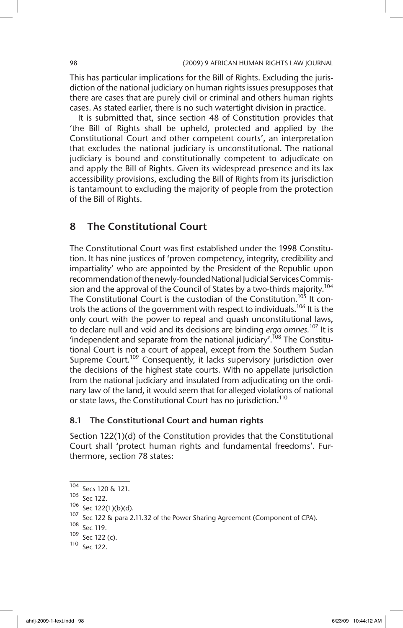This has particular implications for the Bill of Rights. Excluding the jurisdiction of the national judiciary on human rights issues presupposes that there are cases that are purely civil or criminal and others human rights cases. As stated earlier, there is no such watertight division in practice.

It is submitted that, since section 48 of Constitution provides that 'the Bill of Rights shall be upheld, protected and applied by the Constitutional Court and other competent courts', an interpretation that excludes the national judiciary is unconstitutional. The national judiciary is bound and constitutionally competent to adjudicate on and apply the Bill of Rights. Given its widespread presence and its lax accessibility provisions, excluding the Bill of Rights from its jurisdiction is tantamount to excluding the majority of people from the protection of the Bill of Rights.

### 8 The Constitutional Court

The Constitutional Court was first established under the 1998 Constitution. It has nine justices of 'proven competency, integrity, credibility and impartiality' who are appointed by the President of the Republic upon recommendation of the newly-founded National Judicial Services Commission and the approval of the Council of States by a two-thirds majority.<sup>104</sup> The Constitutional Court is the custodian of the Constitution.<sup>105</sup> It controls the actions of the government with respect to individuals.<sup>106</sup> It is the only court with the power to repeal and quash unconstitutional laws, to declare null and void and its decisions are binding *erga omnes.*<sup>107</sup> It is 'independent and separate from the national judiciary'.<sup>108</sup> The Constitutional Court is not a court of appeal, except from the Southern Sudan Supreme Court.<sup>109</sup> Consequently, it lacks supervisory jurisdiction over the decisions of the highest state courts. With no appellate jurisdiction from the national judiciary and insulated from adjudicating on the ordinary law of the land, it would seem that for alleged violations of national or state laws, the Constitutional Court has no jurisdiction.<sup>110</sup>

### 8.1 The Constitutional Court and human rights

Section 122(1)(d) of the Constitution provides that the Constitutional Court shall 'protect human rights and fundamental freedoms'. Furthermore, section 78 states:

 $\frac{104}{104}$  Secs 120 & 121.

<sup>105</sup> Sec 122.

<sup>106</sup> Sec 122(1)(b)(d).

<sup>107</sup> Sec 122 & para 2.11.32 of the Power Sharing Agreement (Component of CPA).

<sup>108</sup> Sec 119.

<sup>109</sup> Sec 122 (c).

<sup>110</sup> Sec 122.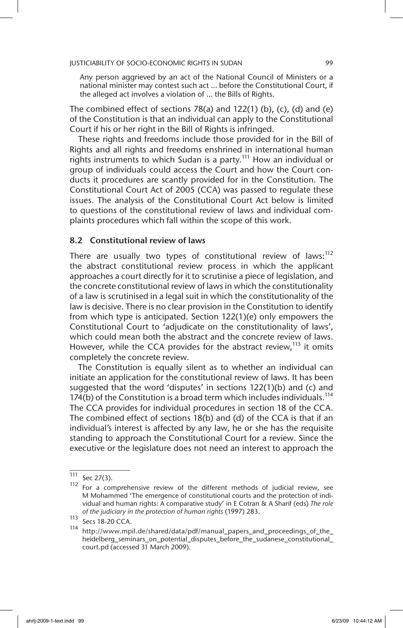Any person aggrieved by an act of the National Council of Ministers or a national minister may contest such act … before the Constitutional Court, if the alleged act involves a violation of … the Bills of Rights.

The combined effect of sections  $78(a)$  and  $122(1)$  (b), (c), (d) and (e) of the Constitution is that an individual can apply to the Constitutional Court if his or her right in the Bill of Rights is infringed.

These rights and freedoms include those provided for in the Bill of Rights and all rights and freedoms enshrined in international human rights instruments to which Sudan is a party.<sup>111</sup> How an individual or group of individuals could access the Court and how the Court conducts it procedures are scantly provided for in the Constitution. The Constitutional Court Act of 2005 (CCA) was passed to regulate these issues. The analysis of the Constitutional Court Act below is limited to questions of the constitutional review of laws and individual complaints procedures which fall within the scope of this work.

### 8.2 Constitutional review of laws

There are usually two types of constitutional review of laws: $112$ the abstract constitutional review process in which the applicant approaches a court directly for it to scrutinise a piece of legislation, and the concrete constitutional review of laws in which the constitutionality of a law is scrutinised in a legal suit in which the constitutionality of the law is decisive. There is no clear provision in the Constitution to identify from which type is anticipated. Section 122(1)(e) only empowers the Constitutional Court to 'adjudicate on the constitutionality of laws', which could mean both the abstract and the concrete review of laws. However, while the CCA provides for the abstract review,<sup>113</sup> it omits completely the concrete review.

The Constitution is equally silent as to whether an individual can initiate an application for the constitutional review of laws. It has been suggested that the word 'disputes' in sections 122(1)(b) and (c) and 174(b) of the Constitution is a broad term which includes individuals.<sup>114</sup> The CCA provides for individual procedures in section 18 of the CCA. The combined effect of sections 18(b) and (d) of the CCA is that if an individual's interest is affected by any law, he or she has the requisite standing to approach the Constitutional Court for a review. Since the executive or the legislature does not need an interest to approach the

 $\frac{111}{112}$  Sec 27(3).

For a comprehensive review of the different methods of judicial review, see M Mohammed 'The emergence of constitutional courts and the protection of individual and human rights: A comparative study' in E Cotran & A Sharif (eds) *The role of the judiciary in the protection of human rights* (1997) 283.

 $113$  Secs 18-20 CCA.

<sup>114</sup> http://www.mpil.de/shared/data/pdf/manual\_papers\_and\_proceedings\_of\_the\_ heidelberg\_seminars\_on\_potential\_disputes\_before\_the\_sudanese\_constitutional\_ court.pd (accessed 31 March 2009).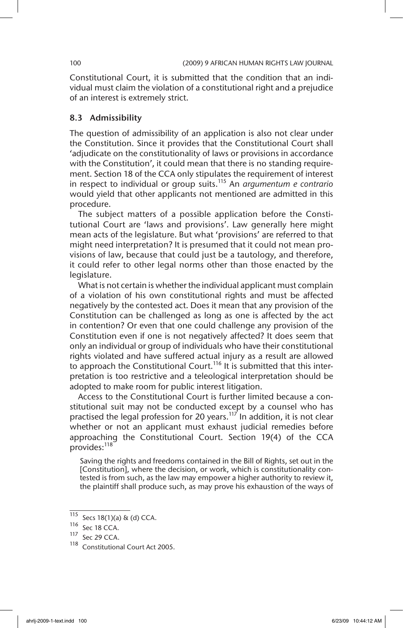Constitutional Court, it is submitted that the condition that an individual must claim the violation of a constitutional right and a prejudice of an interest is extremely strict.

### 8.3 Admissibility

The question of admissibility of an application is also not clear under the Constitution. Since it provides that the Constitutional Court shall 'adjudicate on the constitutionality of laws or provisions in accordance with the Constitution', it could mean that there is no standing requirement. Section 18 of the CCA only stipulates the requirement of interest in respect to individual or group suits.115 An *argumentum e contrario* would yield that other applicants not mentioned are admitted in this procedure.

The subject matters of a possible application before the Constitutional Court are 'laws and provisions'. Law generally here might mean acts of the legislature. But what 'provisions' are referred to that might need interpretation? It is presumed that it could not mean provisions of law, because that could just be a tautology, and therefore, it could refer to other legal norms other than those enacted by the legislature.

What is not certain is whether the individual applicant must complain of a violation of his own constitutional rights and must be affected negatively by the contested act. Does it mean that any provision of the Constitution can be challenged as long as one is affected by the act in contention? Or even that one could challenge any provision of the Constitution even if one is not negatively affected? It does seem that only an individual or group of individuals who have their constitutional rights violated and have suffered actual injury as a result are allowed to approach the Constitutional Court.<sup>116</sup> It is submitted that this interpretation is too restrictive and a teleological interpretation should be adopted to make room for public interest litigation.

Access to the Constitutional Court is further limited because a constitutional suit may not be conducted except by a counsel who has practised the legal profession for 20 years.<sup>117</sup> In addition, it is not clear whether or not an applicant must exhaust judicial remedies before approaching the Constitutional Court. Section 19(4) of the CCA provides:<sup>118</sup>

Saving the rights and freedoms contained in the Bill of Rights, set out in the [Constitution], where the decision, or work, which is constitutionality contested is from such, as the law may empower a higher authority to review it, the plaintiff shall produce such, as may prove his exhaustion of the ways of

<sup>115</sup> Secs 18(1)(a) & (d) CCA.

 $\frac{116}{117}$  Sec 18 CCA.

Sec 29 CCA.

<sup>118</sup> Constitutional Court Act 2005.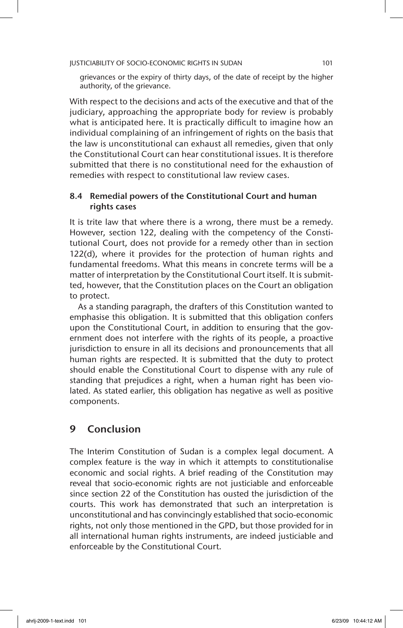grievances or the expiry of thirty days, of the date of receipt by the higher authority, of the grievance.

With respect to the decisions and acts of the executive and that of the judiciary, approaching the appropriate body for review is probably what is anticipated here. It is practically difficult to imagine how an individual complaining of an infringement of rights on the basis that the law is unconstitutional can exhaust all remedies, given that only the Constitutional Court can hear constitutional issues. It is therefore submitted that there is no constitutional need for the exhaustion of remedies with respect to constitutional law review cases.

### 8.4 Remedial powers of the Constitutional Court and human rights cases

It is trite law that where there is a wrong, there must be a remedy. However, section 122, dealing with the competency of the Constitutional Court, does not provide for a remedy other than in section 122(d), where it provides for the protection of human rights and fundamental freedoms. What this means in concrete terms will be a matter of interpretation by the Constitutional Court itself. It is submitted, however, that the Constitution places on the Court an obligation to protect.

As a standing paragraph, the drafters of this Constitution wanted to emphasise this obligation. It is submitted that this obligation confers upon the Constitutional Court, in addition to ensuring that the government does not interfere with the rights of its people, a proactive jurisdiction to ensure in all its decisions and pronouncements that all human rights are respected. It is submitted that the duty to protect should enable the Constitutional Court to dispense with any rule of standing that prejudices a right, when a human right has been violated. As stated earlier, this obligation has negative as well as positive components.

# 9 Conclusion

The Interim Constitution of Sudan is a complex legal document. A complex feature is the way in which it attempts to constitutionalise economic and social rights. A brief reading of the Constitution may reveal that socio-economic rights are not justiciable and enforceable since section 22 of the Constitution has ousted the jurisdiction of the courts. This work has demonstrated that such an interpretation is unconstitutional and has convincingly established that socio-economic rights, not only those mentioned in the GPD, but those provided for in all international human rights instruments, are indeed justiciable and enforceable by the Constitutional Court.